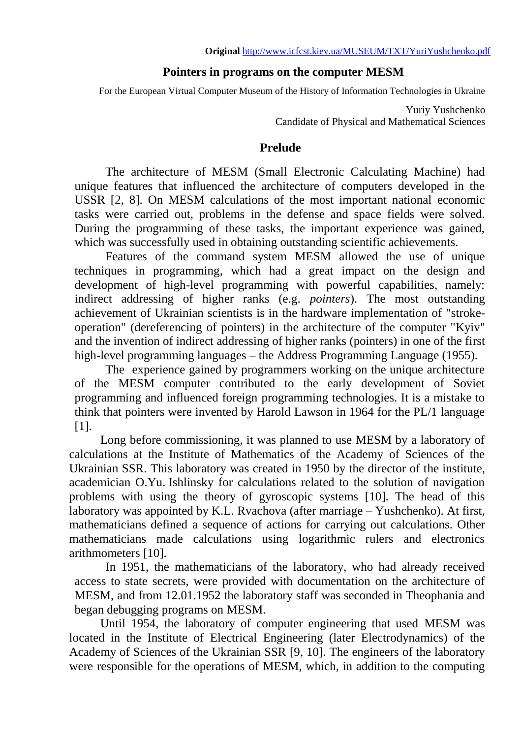# **Pointers in programs on the computer MESM**

For the European Virtual Computer Museum of the History of Information Technologies in Ukraine

Yuriy Yushchenko Candidate of Physical and Mathematical Sciences

## **Prelude**

The architecture of MESM (Small Electronic Calculating Machine) had unique features that influenced the architecture of computers developed in the USSR [\[2,](#page-5-0) [8\]](#page-5-1). On MESM calculations of the most important national economic tasks were carried out, problems in the defense and space fields were solved. During the programming of these tasks, the important experience was gained, which was successfully used in obtaining outstanding scientific achievements.

Features of the command system MESM allowed the use of unique techniques in programming, which had a great impact on the design and development of high-level programming with powerful capabilities, namely: indirect addressing of higher ranks (e.g. *pointers*). The most outstanding achievement of Ukrainian scientists is in the hardware implementation of "strokeoperation" (dereferencing of pointers) in the architecture of the computer "Kyiv" and the invention of indirect addressing of higher ranks (pointers) in one of the first high-level programming languages – the Address Programming Language (1955).

The experience gained by programmers working on the unique architecture of the MESM computer contributed to the early development of Soviet programming and influenced foreign programming technologies. It is a mistake to think that pointers were invented by Harold Lawson in 1964 for the PL/1 language [\[1\]](#page-5-2).

Long before commissioning, it was planned to use MESM by a laboratory of calculations at the Institute of Mathematics of the Academy of Sciences of the Ukrainian SSR. This laboratory was created in 1950 by the director of the institute, academician O.Yu. Ishlinsky for calculations related to the solution of navigation problems with using the theory of gyroscopic systems [\[10\]](#page-5-3). The head of this laboratory was appointed by K.L. Rvachova (after marriage – Yushchenko). At first, mathematicians defined a sequence of actions for carrying out calculations. Other mathematicians made calculations using logarithmic rulers and electronics arithmometers [\[10\]](#page-5-3).

In 1951, the mathematicians of the laboratory, who had already received access to state secrets, were provided with documentation on the architecture of MESM, and from 12.01.1952 the laboratory staff was seconded in Theophania and began debugging programs on MESM.

Until 1954, the laboratory of computer engineering that used MESM was located in the Institute of Electrical Engineering (later Electrodynamics) of the Academy of Sciences of the Ukrainian SSR [\[9,](#page-5-4) [10\]](#page-5-3). The engineers of the laboratory were responsible for the operations of MESM, which, in addition to the computing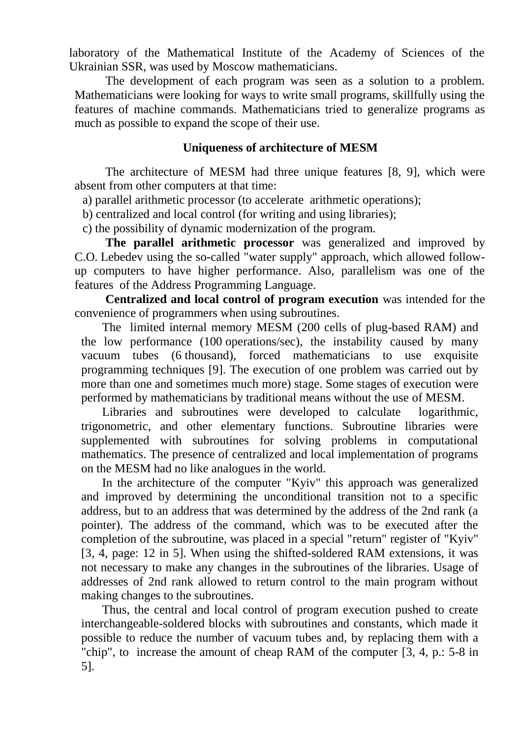laboratory of the Mathematical Institute of the Academy of Sciences of the Ukrainian SSR, was used by Moscow mathematicians.

The development of each program was seen as a solution to a problem. Mathematicians were looking for ways to write small programs, skillfully using the features of machine commands. Mathematicians tried to generalize programs as much as possible to expand the scope of their use.

## **Uniqueness of architecture of MESM**

The architecture of MESM had three unique features [\[8, 9\],](#page-5-5) which were absent from other computers at that time:

a) parallel arithmetic processor (to accelerate arithmetic operations);

b) centralized and local control (for writing and using libraries);

c) the possibility of dynamic modernization of the program.

**The parallel arithmetic processor** was generalized and improved by C.O. Lebedev using the so-called "water supply" approach, which allowed followup computers to have higher performance. Also, parallelism was one of the features of the Address Programming Language.

**Centralized and local control of program execution** was intended for the convenience of programmers when using subroutines.

The limited internal memory MESM (200 cells of plug-based RAM) and the low performance (100 operations/sec), the instability caused by many vacuum tubes (6 thousand), forced mathematicians to use exquisite programming techniques [\[9\]](#page-5-4). The execution of one problem was carried out by more than one and sometimes much more) stage. Some stages of execution were performed by mathematicians by traditional means without the use of MESM.

Libraries and subroutines were developed to calculate logarithmic, trigonometric, and other elementary functions. Subroutine libraries were supplemented with subroutines for solving problems in computational mathematics. The presence of centralized and local implementation of programs on the MESM had no like analogues in the world.

In the architecture of the computer "Kyiv" this approach was generalized and improved by determining the unconditional transition not to a specific address, but to an address that was determined by the address of the 2nd rank (a pointer). The address of the command, which was to be executed after the completion of the subroutine, was placed in a special "return" register of "Kyiv" [\[3,](#page-5-6) [4,](#page-5-7) page: 12 in [5\]](#page-5-5). When using the shifted-soldered RAM extensions, it was not necessary to make any changes in the subroutines of the libraries. Usage of addresses of 2nd rank allowed to return control to the main program without making changes to the subroutines.

Thus, the central and local control of program execution pushed to create interchangeable-soldered blocks with subroutines and constants, which made it possible to reduce the number of vacuum tubes and, by replacing them with a "chip", to increase the amount of cheap RAM of the computer [\[3,](#page-5-6) [4,](#page-5-7) p.: 5-8 in [5\]](#page-5-5).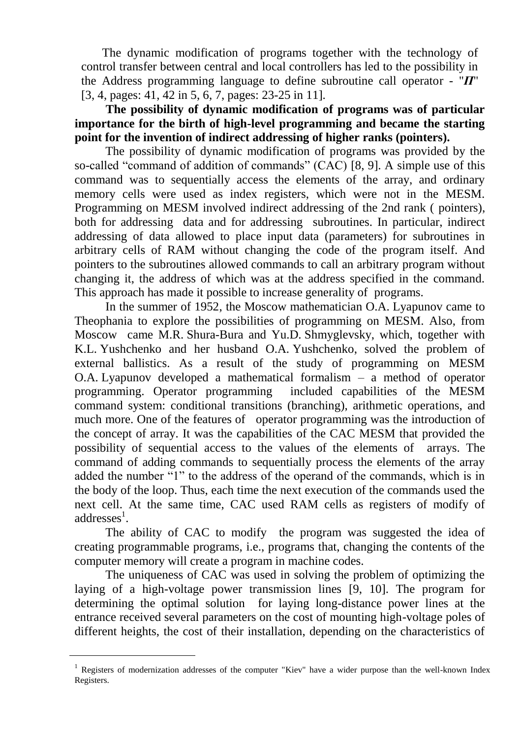The dynamic modification of programs together with the technology of control transfer between central and local controllers has led to the possibility in the Address programming language to define subroutine call operator - "*П*" [\[3,](#page-5-6) [4,](#page-5-7) pages: 41, 42 in [5,](#page-5-5) [6,](#page-5-8) [7,](#page-5-9) pages: 23-25 in [11\]](#page-5-10).

**The possibility of dynamic modification of programs was of particular importance for the birth of high-level programming and became the starting point for the invention of indirect addressing of higher ranks (pointers).**

The possibility of dynamic modification of programs was provided by the so-called "command of addition of commands" (CAC) [\[8,](#page-5-1) [9\]](#page-5-4). A simple use of this command was to sequentially access the elements of the array, and ordinary memory cells were used as index registers, which were not in the MESM. Programming on MESM involved indirect addressing of the 2nd rank ( pointers), both for addressing data and for addressing subroutines. In particular, indirect addressing of data allowed to place input data (parameters) for subroutines in arbitrary cells of RAM without changing the code of the program itself. And pointers to the subroutines allowed commands to call an arbitrary program without changing it, the address of which was at the address specified in the command. This approach has made it possible to increase generality of programs.

In the summer of 1952, the Moscow mathematician O.A. Lyapunov came to Theophania to explore the possibilities of programming on MESM. Also, from Moscow came M.R. Shura-Bura and Yu.D. Shmyglevsky, which, together with K.L. Yushchenko and her husband O.A. Yushchenko, solved the problem of external ballistics. As a result of the study of programming on MESM O.A. Lyapunov developed a mathematical formalism – a method of operator programming. Operator programming included capabilities of the MESM command system: conditional transitions (branching), arithmetic operations, and much more. One of the features of operator programming was the introduction of the concept of array. It was the capabilities of the CAC MESM that provided the possibility of sequential access to the values of the elements of arrays. The command of adding commands to sequentially process the elements of the array added the number "1" to the address of the operand of the commands, which is in the body of the loop. Thus, each time the next execution of the commands used the next cell. At the same time, CAC used RAM cells as registers of modify of addresses<sup>1</sup>.

The ability of CAC to modify the program was suggested the idea of creating programmable programs, i.e., programs that, changing the contents of the computer memory will create a program in machine codes.

The uniqueness of CAC was used in solving the problem of optimizing the laying of a high-voltage power transmission lines [\[9,](#page-5-4) [10\]](#page-5-3). The program for determining the optimal solution for laying long-distance power lines at the entrance received several parameters on the cost of mounting high-voltage poles of different heights, the cost of their installation, depending on the characteristics of

l

<sup>&</sup>lt;sup>1</sup> Registers of modernization addresses of the computer "Kiev" have a wider purpose than the well-known Index Registers.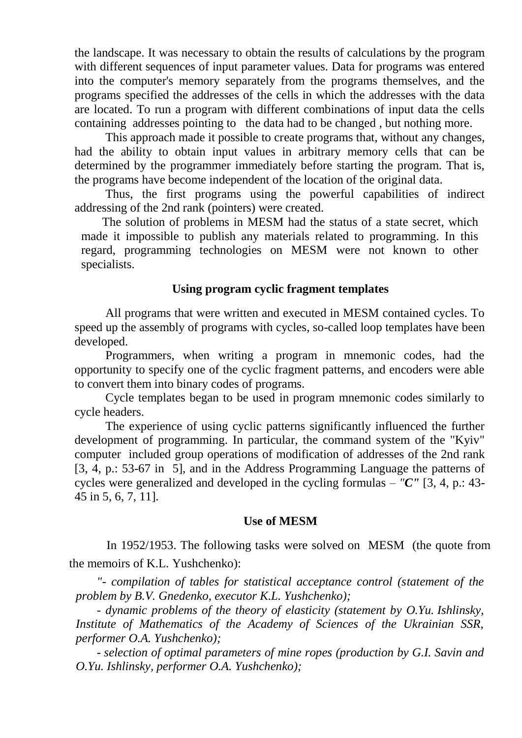the landscape. It was necessary to obtain the results of calculations by the program with different sequences of input parameter values. Data for programs was entered into the computer's memory separately from the programs themselves, and the programs specified the addresses of the cells in which the addresses with the data are located. To run a program with different combinations of input data the cells containing addresses pointing to the data had to be changed , but nothing more.

This approach made it possible to create programs that, without any changes, had the ability to obtain input values in arbitrary memory cells that can be determined by the programmer immediately before starting the program. That is, the programs have become independent of the location of the original data.

Thus, the first programs using the powerful capabilities of indirect addressing of the 2nd rank (pointers) were created.

The solution of problems in MESM had the status of a state secret, which made it impossible to publish any materials related to programming. In this regard, programming technologies on MESM were not known to other specialists.

## **Using program cyclic fragment templates**

All programs that were written and executed in MESM contained cycles. To speed up the assembly of programs with cycles, so-called loop templates have been developed.

Programmers, when writing a program in mnemonic codes, had the opportunity to specify one of the cyclic fragment patterns, and encoders were able to convert them into binary codes of programs.

Cycle templates began to be used in program mnemonic codes similarly to cycle headers.

The experience of using cyclic patterns significantly influenced the further development of programming. In particular, the command system of the "Kyiv" computer included group operations of modification of addresses of the 2nd rank [\[3,](#page-5-6) [4,](#page-5-7) p.: 53-67 in [5\],](#page-5-2) and in the Address Programming Language the patterns of cycles were generalized and developed in the cycling formulas – *"C"* [\[3,](#page-5-6) [4,](#page-5-7) p.: 43- 45 in [5, 6, 7, 11\].](#page-5-2)

### **Use of MESM**

In 1952/1953. The following tasks were solved on MESM (the quote from the memoirs of K.L. Yushchenko):

*"- compilation of tables for statistical acceptance control (statement of the problem by B.V. Gnedenko, executor K.L. Yushchenko);*

*- dynamic problems of the theory of elasticity (statement by O.Yu. Ishlinsky, Institute of Mathematics of the Academy of Sciences of the Ukrainian SSR, performer O.A. Yushchenko);*

*- selection of optimal parameters of mine ropes (production by G.I. Savin and O.Yu. Ishlinsky, performer O.A. Yushchenko);*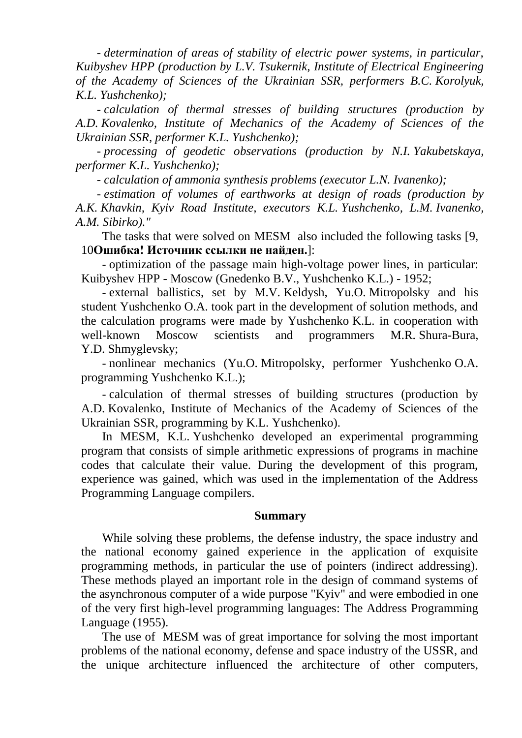*- determination of areas of stability of electric power systems, in particular, Kuibyshev HPP (production by L.V. Tsukernik, Institute of Electrical Engineering of the Academy of Sciences of the Ukrainian SSR, performers B.C. Korolyuk, K.L. Yushchenko);*

*- calculation of thermal stresses of building structures (production by A.D. Kovalenko, Institute of Mechanics of the Academy of Sciences of the Ukrainian SSR, performer K.L. Yushchenko);*

*- processing of geodetic observations (production by N.I. Yakubetskaya, performer K.L. Yushchenko);*

*- calculation of ammonia synthesis problems (executor L.N. Ivanenko);*

*- estimation of volumes of earthworks at design of roads (production by A.K. Khavkin, Kyiv Road Institute, executors K.L. Yushchenko, L.M. Ivanenko, A.M. Sibirko)."*

The tasks that were solved on MESM also included the following tasks [\[9,](#page-5-4) [10](#page-5-3)**[Ошибка! Источник ссылки не найден.](#page-5-3)**]:

- optimization of the passage main high-voltage power lines, in particular: Kuibyshev HPP - Moscow (Gnedenko B.V., Yushchenko K.L.) - 1952;

- external ballistics, set by M.V. Keldysh, Yu.O. Mitropolsky and his student Yushchenko O.A. took part in the development of solution methods, and the calculation programs were made by Yushchenko K.L. in cooperation with well-known Moscow scientists and programmers M.R. Shura-Bura, Y.D. Shmyglevsky;

- nonlinear mechanics (Yu.O. Mitropolsky, performer Yushchenko O.A. programming Yushchenko K.L.);

- calculation of thermal stresses of building structures (production by A.D. Kovalenko, Institute of Mechanics of the Academy of Sciences of the Ukrainian SSR, programming by K.L. Yushchenko).

In MESM, K.L. Yushchenko developed an experimental programming program that consists of simple arithmetic expressions of programs in machine codes that calculate their value. During the development of this program, experience was gained, which was used in the implementation of the Address Programming Language compilers.

#### **Summary**

While solving these problems, the defense industry, the space industry and the national economy gained experience in the application of exquisite programming methods, in particular the use of pointers (indirect addressing). These methods played an important role in the design of command systems of the asynchronous computer of a wide purpose "Kyiv" and were embodied in one of the very first high-level programming languages: The Address Programming Language (1955).

The use of MESM was of great importance for solving the most important problems of the national economy, defense and space industry of the USSR, and the unique architecture influenced the architecture of other computers,